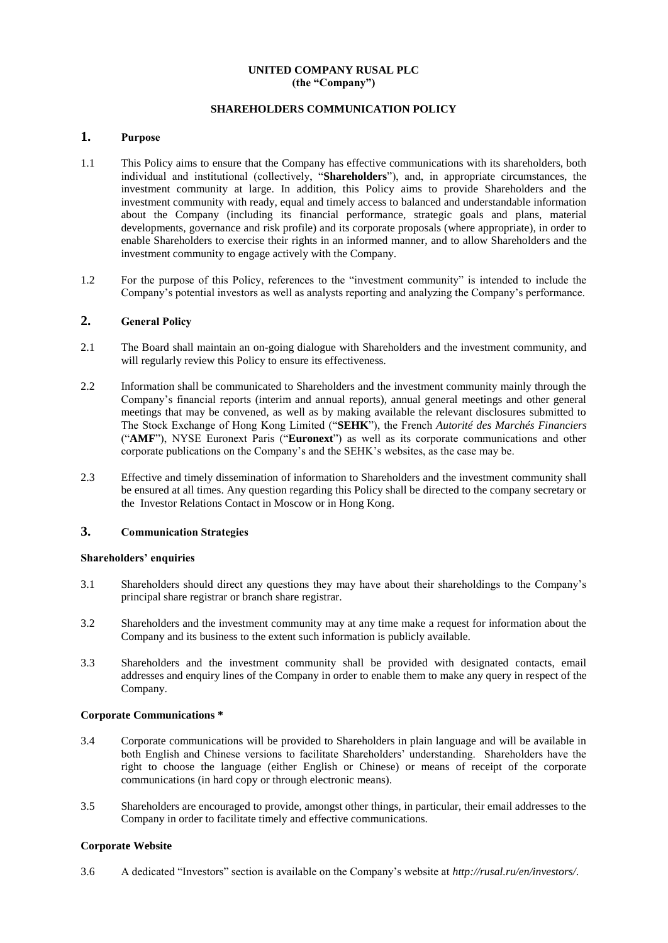### **UNITED COMPANY RUSAL PLC (the "Company")**

# **SHAREHOLDERS COMMUNICATION POLICY**

# **1. Purpose**

- 1.1 This Policy aims to ensure that the Company has effective communications with its shareholders, both individual and institutional (collectively, "**Shareholders**"), and, in appropriate circumstances, the investment community at large. In addition, this Policy aims to provide Shareholders and the investment community with ready, equal and timely access to balanced and understandable information about the Company (including its financial performance, strategic goals and plans, material developments, governance and risk profile) and its corporate proposals (where appropriate), in order to enable Shareholders to exercise their rights in an informed manner, and to allow Shareholders and the investment community to engage actively with the Company.
- 1.2 For the purpose of this Policy, references to the "investment community" is intended to include the Company's potential investors as well as analysts reporting and analyzing the Company's performance.

### **2. General Policy**

- 2.1 The Board shall maintain an on-going dialogue with Shareholders and the investment community, and will regularly review this Policy to ensure its effectiveness.
- 2.2 Information shall be communicated to Shareholders and the investment community mainly through the Company's financial reports (interim and annual reports), annual general meetings and other general meetings that may be convened, as well as by making available the relevant disclosures submitted to The Stock Exchange of Hong Kong Limited ("**SEHK**"), the French *Autorité des Marchés Financiers* ("**AMF**"), NYSE Euronext Paris ("**Euronext**") as well as its corporate communications and other corporate publications on the Company's and the SEHK's websites, as the case may be.
- 2.3 Effective and timely dissemination of information to Shareholders and the investment community shall be ensured at all times. Any question regarding this Policy shall be directed to the company secretary or the Investor Relations Contact in Moscow or in Hong Kong.

#### **3. Communication Strategies**

#### **Shareholders' enquiries**

- 3.1 Shareholders should direct any questions they may have about their shareholdings to the Company's principal share registrar or branch share registrar.
- 3.2 Shareholders and the investment community may at any time make a request for information about the Company and its business to the extent such information is publicly available.
- 3.3 Shareholders and the investment community shall be provided with designated contacts, email addresses and enquiry lines of the Company in order to enable them to make any query in respect of the Company.

#### **Corporate Communications \***

- 3.4 Corporate communications will be provided to Shareholders in plain language and will be available in both English and Chinese versions to facilitate Shareholders' understanding. Shareholders have the right to choose the language (either English or Chinese) or means of receipt of the corporate communications (in hard copy or through electronic means).
- 3.5 Shareholders are encouraged to provide, amongst other things, in particular, their email addresses to the Company in order to facilitate timely and effective communications.

### **Corporate Website**

3.6 A dedicated "Investors" section is available on the Company's website at *http://rusal.ru/en/investors/*.